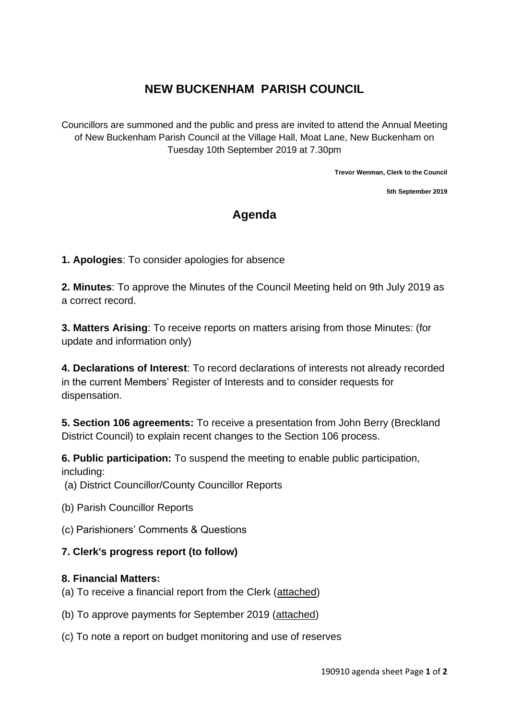# **NEW BUCKENHAM PARISH COUNCIL**

Councillors are summoned and the public and press are invited to attend the Annual Meeting of New Buckenham Parish Council at the Village Hall, Moat Lane, New Buckenham on Tuesday 10th September 2019 at 7.30pm

**Trevor Wenman, Clerk to the Council**

**5th September 2019**

## **Agenda**

**1. Apologies**: To consider apologies for absence

**2. Minutes**: To approve the Minutes of the Council Meeting held on 9th July 2019 as a correct record.

**3. Matters Arising**: To receive reports on matters arising from those Minutes: (for update and information only)

**4. Declarations of Interest**: To record declarations of interests not already recorded in the current Members' Register of Interests and to consider requests for dispensation.

**5. Section 106 agreements:** To receive a presentation from John Berry (Breckland District Council) to explain recent changes to the Section 106 process.

**6. Public participation:** To suspend the meeting to enable public participation, including:

(a) District Councillor/County Councillor Reports

- (b) Parish Councillor Reports
- (c) Parishioners' Comments & Questions

#### **7. Clerk's progress report (to follow)**

#### **8. Financial Matters:**

- (a) To receive a financial report from the Clerk (attached)
- (b) To approve payments for September 2019 (attached)
- (c) To note a report on budget monitoring and use of reserves